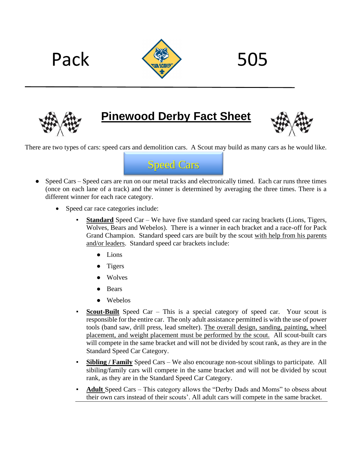



**Pinewood Derby Fact Sheet**



There are two types of cars: speed cars and demolition cars. A Scout may build as many cars as he would like.



- Speed Cars Speed cars are run on our metal tracks and electronically timed. Each car runs three times (once on each lane of a track) and the winner is determined by averaging the three times. There is a different winner for each race category.
	- Speed car race categories include:
		- **Standard** Speed Car We have five standard speed car racing brackets (Lions, Tigers, Wolves, Bears and Webelos). There is a winner in each bracket and a race-off for Pack Grand Champion. Standard speed cars are built by the scout with help from his parents and/or leaders. Standard speed car brackets include:
			- Lions
			- **Tigers**
			- **Wolves**
			- **Bears**
			- Webelos
		- **Scout-Built** Speed Car This is a special category of speed car. Your scout is responsible for the entire car. The only adult assistance permitted is with the use of power tools (band saw, drill press, lead smelter). The overall design, sanding, painting, wheel placement, and weight placement must be performed by the scout. All scout-built cars will compete in the same bracket and will not be divided by scout rank, as they are in the Standard Speed Car Category.
		- **Sibling / Family** Speed Cars We also encourage non-scout siblings to participate. All sibiling/family cars will compete in the same bracket and will not be divided by scout rank, as they are in the Standard Speed Car Category.
		- Adult Speed Cars This category allows the "Derby Dads and Moms" to obsess about their own cars instead of their scouts'. All adult cars will compete in the same bracket.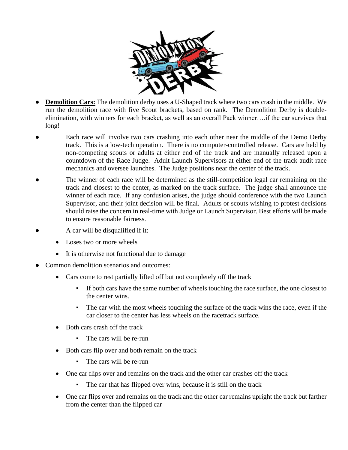

- **Demolition Cars:** The demolition derby uses a U-Shaped track where two cars crash in the middle. We run the demolition race with five Scout brackets, based on rank. The Demolition Derby is doubleelimination, with winners for each bracket, as well as an overall Pack winner….if the car survives that long!
- Each race will involve two cars crashing into each other near the middle of the Demo Derby track. This is a low-tech operation. There is no computer-controlled release. Cars are held by non-competing scouts or adults at either end of the track and are manually released upon a countdown of the Race Judge. Adult Launch Supervisors at either end of the track audit race mechanics and oversee launches. The Judge positions near the center of the track.
- The winner of each race will be determined as the still-competition legal car remaining on the track and closest to the center, as marked on the track surface. The judge shall announce the winner of each race. If any confusion arises, the judge should conference with the two Launch Supervisor, and their joint decision will be final. Adults or scouts wishing to protest decisions should raise the concern in real-time with Judge or Launch Supervisor. Best efforts will be made to ensure reasonable fairness.
- A car will be disqualified if it:
	- Loses two or more wheels
	- It is otherwise not functional due to damage
- Common demolition scenarios and outcomes:
	- Cars come to rest partially lifted off but not completely off the track
		- If both cars have the same number of wheels touching the race surface, the one closest to the center wins.
		- The car with the most wheels touching the surface of the track wins the race, even if the car closer to the center has less wheels on the racetrack surface.
	- Both cars crash off the track
		- The cars will be re-run
	- Both cars flip over and both remain on the track
		- The cars will be re-run
	- One car flips over and remains on the track and the other car crashes off the track
		- The car that has flipped over wins, because it is still on the track
	- One car flips over and remains on the track and the other car remains upright the track but farther from the center than the flipped car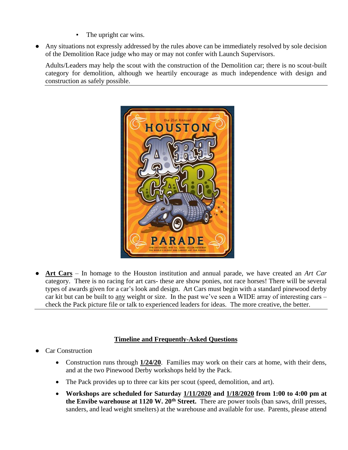- The upright car wins.
- Any situations not expressly addressed by the rules above can be immediately resolved by sole decision of the Demolition Race judge who may or may not confer with Launch Supervisors.

Adults/Leaders may help the scout with the construction of the Demolition car; there is no scout-built category for demolition, although we heartily encourage as much independence with design and construction as safely possible.



● **Art Cars** – In homage to the Houston institution and annual parade, we have created an *Art Car*  category. There is no racing for art cars- these are show ponies, not race horses! There will be several types of awards given for a car's look and design. Art Cars must begin with a standard pinewood derby car kit but can be built to any weight or size. In the past we've seen a WIDE array of interesting cars – check the Pack picture file or talk to experienced leaders for ideas. The more creative, the better.

## **Timeline and Frequently-Asked Questions**

- **Car Construction** 
	- Construction runs through **1/24/20**. Families may work on their cars at home, with their dens, and at the two Pinewood Derby workshops held by the Pack.
	- The Pack provides up to three car kits per scout (speed, demolition, and art).
	- **Workshops are scheduled for Saturday 1/11/2020 and 1/18/2020 from 1:00 to 4:00 pm at the Envibe warehouse at 1120 W. 20th Street.** There are power tools (ban saws, drill presses, sanders, and lead weight smelters) at the warehouse and available for use. Parents, please attend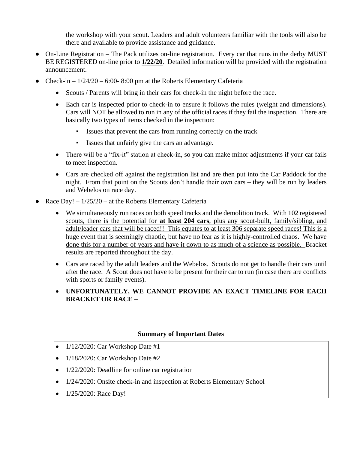the workshop with your scout. Leaders and adult volunteers familiar with the tools will also be there and available to provide assistance and guidance.

- On-Line Registration The Pack utilizes on-line registration. Every car that runs in the derby MUST BE REGISTERED on-line prior to **1/22/20**. Detailed information will be provided with the registration announcement.
- Check-in  $-1/24/20 6:00 8:00$  pm at the Roberts Elementary Cafeteria
	- Scouts / Parents will bring in their cars for check-in the night before the race.
	- Each car is inspected prior to check-in to ensure it follows the rules (weight and dimensions). Cars will NOT be allowed to run in any of the official races if they fail the inspection. There are basically two types of items checked in the inspection:
		- Issues that prevent the cars from running correctly on the track
		- Issues that unfairly give the cars an advantage.
	- There will be a "fix-it" station at check-in, so you can make minor adjustments if your car fails to meet inspection.
	- Cars are checked off against the registration list and are then put into the Car Paddock for the night. From that point on the Scouts don't handle their own cars – they will be run by leaders and Webelos on race day.
- Race Day!  $-1/25/20$  at the Roberts Elementary Cafeteria
	- We simultaneously run races on both speed tracks and the demolition track. With 102 registered scouts, there is the potential for **at least 204 cars**, plus any scout-built, family/sibling, and adult/leader cars that will be raced!! This equates to at least 306 separate speed races! This is a huge event that is seemingly chaotic, but have no fear as it is highly-controlled chaos. We have done this for a number of years and have it down to as much of a science as possible. Bracket results are reported throughout the day.
	- Cars are raced by the adult leaders and the Webelos. Scouts do not get to handle their cars until after the race. A Scout does not have to be present for their car to run (in case there are conflicts with sports or family events).
	- **UNFORTUNATELY, WE CANNOT PROVIDE AN EXACT TIMELINE FOR EACH BRACKET OR RACE** –

## **Summary of Important Dates**

- 1/12/2020: Car Workshop Date #1
- 1/18/2020: Car Workshop Date #2
- 1/22/2020: Deadline for online car registration
- 1/24/2020: Onsite check-in and inspection at Roberts Elementary School
- 1/25/2020: Race Day!